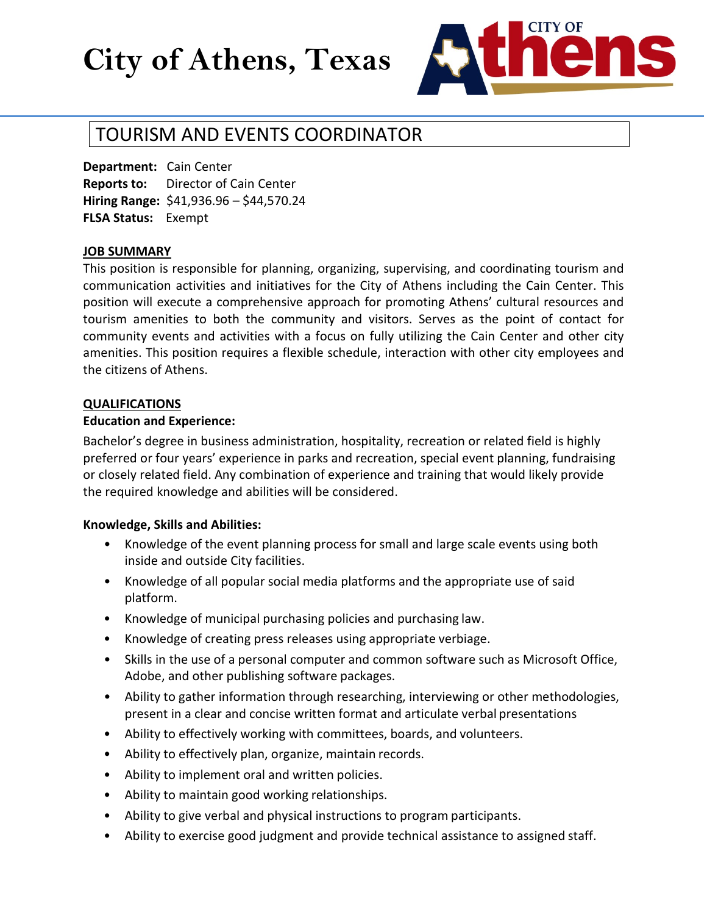# **City of Athens, Texas**



# TOURISM AND EVENTS COORDINATOR

**Department:** Cain Center **Reports to:** Director of Cain Center **Hiring Range:** \$41,936.96 – \$44,570.24 **FLSA Status:** Exempt

#### **JOB SUMMARY**

This position is responsible for planning, organizing, supervising, and coordinating tourism and communication activities and initiatives for the City of Athens including the Cain Center. This position will execute a comprehensive approach for promoting Athens' cultural resources and tourism amenities to both the community and visitors. Serves as the point of contact for community events and activities with a focus on fully utilizing the Cain Center and other city amenities. This position requires a flexible schedule, interaction with other city employees and the citizens of Athens.

#### **QUALIFICATIONS**

#### **Education and Experience:**

Bachelor's degree in business administration, hospitality, recreation or related field is highly preferred or four years' experience in parks and recreation, special event planning, fundraising or closely related field. Any combination of experience and training that would likely provide the required knowledge and abilities will be considered.

#### **Knowledge, Skills and Abilities:**

- Knowledge of the event planning process for small and large scale events using both inside and outside City facilities.
- Knowledge of all popular social media platforms and the appropriate use of said platform.
- Knowledge of municipal purchasing policies and purchasing law.
- Knowledge of creating press releases using appropriate verbiage.
- Skills in the use of a personal computer and common software such as Microsoft Office, Adobe, and other publishing software packages.
- Ability to gather information through researching, interviewing or other methodologies, present in a clear and concise written format and articulate verbal presentations
- Ability to effectively working with committees, boards, and volunteers.
- Ability to effectively plan, organize, maintain records.
- Ability to implement oral and written policies.
- Ability to maintain good working relationships.
- Ability to give verbal and physical instructions to program participants.
- Ability to exercise good judgment and provide technical assistance to assigned staff.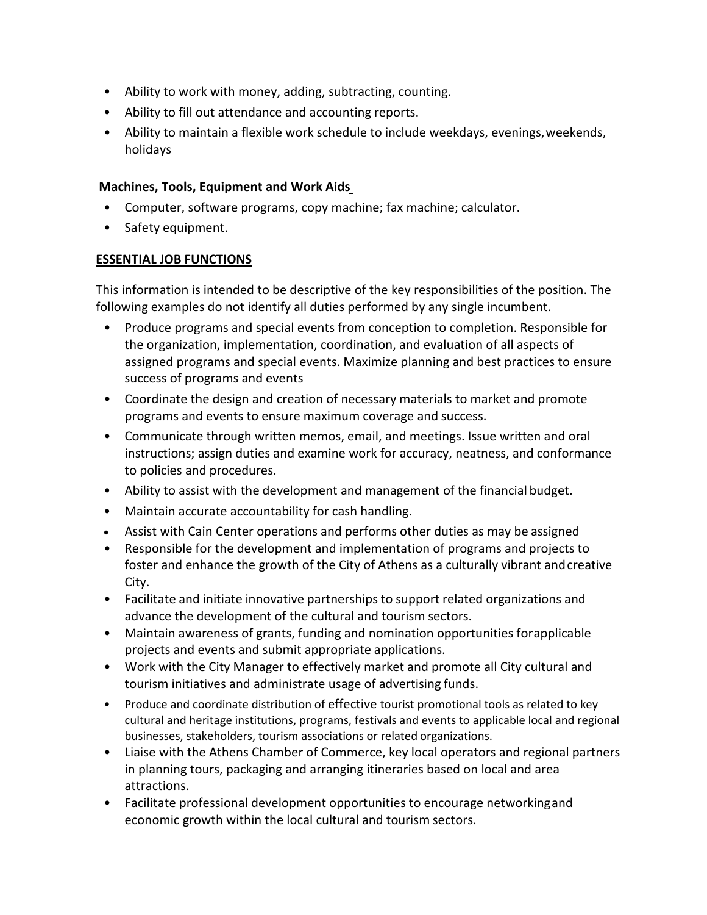- Ability to work with money, adding, subtracting, counting.
- Ability to fill out attendance and accounting reports.
- Ability to maintain a flexible work schedule to include weekdays, evenings, weekends, holidays

## **Machines, Tools, Equipment and Work Aids**

- Computer, software programs, copy machine; fax machine; calculator.
- Safety equipment.

# **ESSENTIAL JOB FUNCTIONS**

This information is intended to be descriptive of the key responsibilities of the position. The following examples do not identify all duties performed by any single incumbent.

- Produce programs and special events from conception to completion. Responsible for the organization, implementation, coordination, and evaluation of all aspects of assigned programs and special events. Maximize planning and best practices to ensure success of programs and events
- Coordinate the design and creation of necessary materials to market and promote programs and events to ensure maximum coverage and success.
- Communicate through written memos, email, and meetings. Issue written and oral instructions; assign duties and examine work for accuracy, neatness, and conformance to policies and procedures.
- Ability to assist with the development and management of the financial budget.
- Maintain accurate accountability for cash handling.
- Assist with Cain Center operations and performs other duties as may be assigned
- Responsible for the development and implementation of programs and projects to foster and enhance the growth of the City of Athens as a culturally vibrant andcreative City.
- Facilitate and initiate innovative partnerships to support related organizations and advance the development of the cultural and tourism sectors.
- Maintain awareness of grants, funding and nomination opportunities forapplicable projects and events and submit appropriate applications.
- Work with the City Manager to effectively market and promote all City cultural and tourism initiatives and administrate usage of advertising funds.
- Produce and coordinate distribution of effective tourist promotional tools as related to key cultural and heritage institutions, programs, festivals and events to applicable local and regional businesses, stakeholders, tourism associations or related organizations.
- Liaise with the Athens Chamber of Commerce, key local operators and regional partners in planning tours, packaging and arranging itineraries based on local and area attractions.
- Facilitate professional development opportunities to encourage networkingand economic growth within the local cultural and tourism sectors.